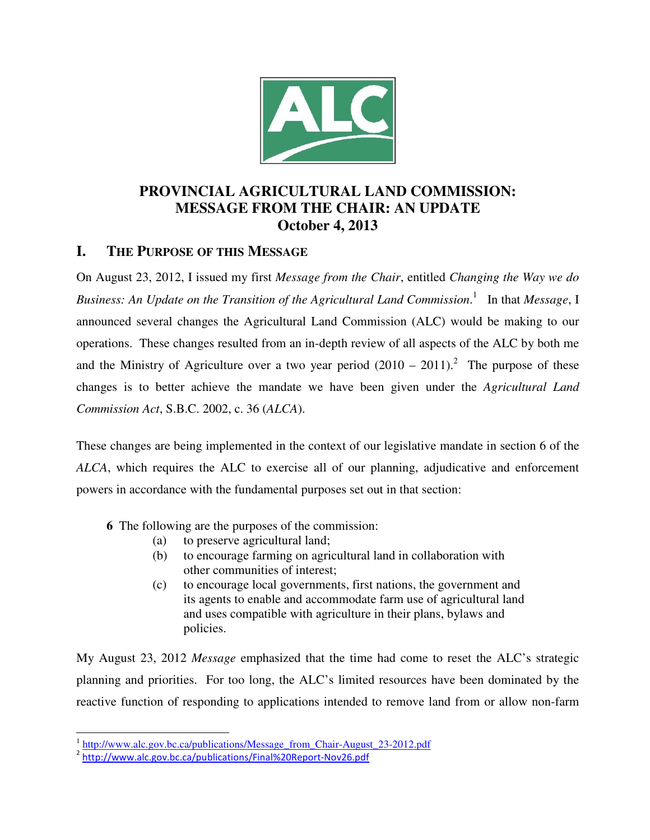

# **PROVINCIAL AGRICULTURAL LAND COMMISSION: MESSAGE FROM THE CHAIR: AN UPDATE October 4, 2013**

## **I. THE PURPOSE OF THIS MESSAGE**

On August 23, 2012, I issued my first *Message from the Chair*, entitled *Changing the Way we do Business: An Update on the Transition of the Agricultural Land Commission*. 1 In that *Message*, I announced several changes the Agricultural Land Commission (ALC) would be making to our operations. These changes resulted from an in-depth review of all aspects of the ALC by both me and the Ministry of Agriculture over a two year period  $(2010 - 2011)^2$ . The purpose of these changes is to better achieve the mandate we have been given under the *Agricultural Land Commission Act*, S.B.C. 2002, c. 36 (*ALCA*).

These changes are being implemented in the context of our legislative mandate in section 6 of the *ALCA*, which requires the ALC to exercise all of our planning, adjudicative and enforcement powers in accordance with the fundamental purposes set out in that section:

- **6** The following are the purposes of the commission:
	- (a) to preserve agricultural land;
	- (b) to encourage farming on agricultural land in collaboration with other communities of interest;
	- (c) to encourage local governments, first nations, the government and its agents to enable and accommodate farm use of agricultural land and uses compatible with agriculture in their plans, bylaws and policies.

My August 23, 2012 *Message* emphasized that the time had come to reset the ALC's strategic planning and priorities. For too long, the ALC's limited resources have been dominated by the reactive function of responding to applications intended to remove land from or allow non-farm

<sup>&</sup>lt;sup>1</sup> http://www.alc.gov.bc.ca/publications/Message\_from\_Chair-August\_23-2012.pdf

<sup>&</sup>lt;sup>2</sup> http://www.alc.gov.bc.ca/publications/Final%20Report-Nov26.pdf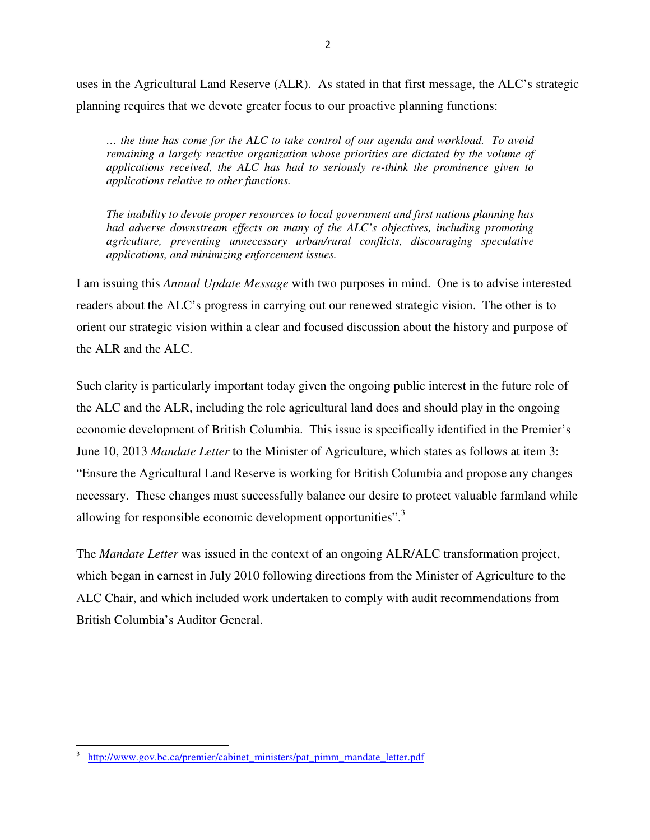uses in the Agricultural Land Reserve (ALR). As stated in that first message, the ALC's strategic planning requires that we devote greater focus to our proactive planning functions:

*… the time has come for the ALC to take control of our agenda and workload. To avoid remaining a largely reactive organization whose priorities are dictated by the volume of applications received, the ALC has had to seriously re-think the prominence given to applications relative to other functions.* 

*The inability to devote proper resources to local government and first nations planning has had adverse downstream effects on many of the ALC's objectives, including promoting agriculture, preventing unnecessary urban/rural conflicts, discouraging speculative applications, and minimizing enforcement issues.* 

I am issuing this *Annual Update Message* with two purposes in mind. One is to advise interested readers about the ALC's progress in carrying out our renewed strategic vision. The other is to orient our strategic vision within a clear and focused discussion about the history and purpose of the ALR and the ALC.

Such clarity is particularly important today given the ongoing public interest in the future role of the ALC and the ALR, including the role agricultural land does and should play in the ongoing economic development of British Columbia. This issue is specifically identified in the Premier's June 10, 2013 *Mandate Letter* to the Minister of Agriculture, which states as follows at item 3: "Ensure the Agricultural Land Reserve is working for British Columbia and propose any changes necessary. These changes must successfully balance our desire to protect valuable farmland while allowing for responsible economic development opportunities".<sup>3</sup>

The *Mandate Letter* was issued in the context of an ongoing ALR/ALC transformation project, which began in earnest in July 2010 following directions from the Minister of Agriculture to the ALC Chair, and which included work undertaken to comply with audit recommendations from British Columbia's Auditor General.

<sup>3</sup> http://www.gov.bc.ca/premier/cabinet\_ministers/pat\_pimm\_mandate\_letter.pdf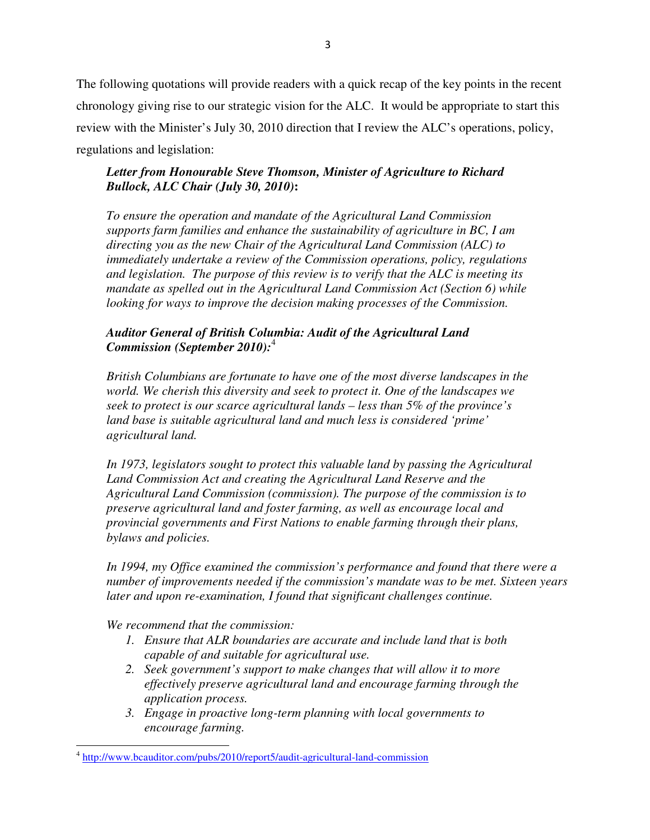The following quotations will provide readers with a quick recap of the key points in the recent chronology giving rise to our strategic vision for the ALC. It would be appropriate to start this review with the Minister's July 30, 2010 direction that I review the ALC's operations, policy, regulations and legislation:

## *Letter from Honourable Steve Thomson, Minister of Agriculture to Richard Bullock, ALC Chair (July 30, 2010)***:**

*To ensure the operation and mandate of the Agricultural Land Commission supports farm families and enhance the sustainability of agriculture in BC, I am directing you as the new Chair of the Agricultural Land Commission (ALC) to immediately undertake a review of the Commission operations, policy, regulations and legislation. The purpose of this review is to verify that the ALC is meeting its mandate as spelled out in the Agricultural Land Commission Act (Section 6) while looking for ways to improve the decision making processes of the Commission.* 

### *Auditor General of British Columbia: Audit of the Agricultural Land Commission (September 2010):*<sup>4</sup>

*British Columbians are fortunate to have one of the most diverse landscapes in the world. We cherish this diversity and seek to protect it. One of the landscapes we seek to protect is our scarce agricultural lands – less than 5% of the province's land base is suitable agricultural land and much less is considered 'prime' agricultural land.* 

In 1973, legislators sought to protect this valuable land by passing the Agricultural *Land Commission Act and creating the Agricultural Land Reserve and the Agricultural Land Commission (commission). The purpose of the commission is to preserve agricultural land and foster farming, as well as encourage local and provincial governments and First Nations to enable farming through their plans, bylaws and policies.* 

*In 1994, my Office examined the commission's performance and found that there were a number of improvements needed if the commission's mandate was to be met. Sixteen years later and upon re-examination, I found that significant challenges continue.* 

*We recommend that the commission:* 

- *1. Ensure that ALR boundaries are accurate and include land that is both capable of and suitable for agricultural use.*
- *2. Seek government's support to make changes that will allow it to more effectively preserve agricultural land and encourage farming through the application process.*
- *3. Engage in proactive long-term planning with local governments to encourage farming.*

<sup>&</sup>lt;sup>4</sup> http://www.bcauditor.com/pubs/2010/report5/audit-agricultural-land-commission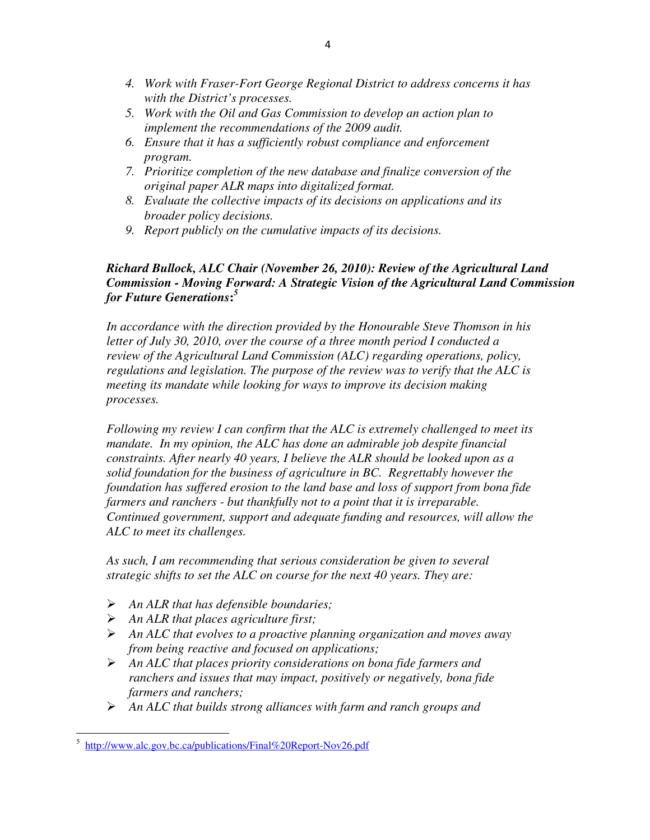- *4. Work with Fraser-Fort George Regional District to address concerns it has with the District's processes.*
- *5. Work with the Oil and Gas Commission to develop an action plan to implement the recommendations of the 2009 audit.*
- *6. Ensure that it has a sufficiently robust compliance and enforcement program.*
- *7. Prioritize completion of the new database and finalize conversion of the original paper ALR maps into digitalized format.*
- *8. Evaluate the collective impacts of its decisions on applications and its broader policy decisions.*
- *9. Report publicly on the cumulative impacts of its decisions.*

### *Richard Bullock, ALC Chair (November 26, 2010): Review of the Agricultural Land Commission - Moving Forward: A Strategic Vision of the Agricultural Land Commission for Future Generations***:** *5*

*In accordance with the direction provided by the Honourable Steve Thomson in his letter of July 30, 2010, over the course of a three month period I conducted a review of the Agricultural Land Commission (ALC) regarding operations, policy, regulations and legislation. The purpose of the review was to verify that the ALC is meeting its mandate while looking for ways to improve its decision making processes.* 

*Following my review I can confirm that the ALC is extremely challenged to meet its mandate. In my opinion, the ALC has done an admirable job despite financial constraints. After nearly 40 years, I believe the ALR should be looked upon as a solid foundation for the business of agriculture in BC. Regrettably however the foundation has suffered erosion to the land base and loss of support from bona fide farmers and ranchers - but thankfully not to a point that it is irreparable. Continued government, support and adequate funding and resources, will allow the ALC to meet its challenges.* 

*As such, I am recommending that serious consideration be given to several strategic shifts to set the ALC on course for the next 40 years. They are:* 

- *An ALR that has defensible boundaries;*
- *An ALR that places agriculture first;*
- *An ALC that evolves to a proactive planning organization and moves away from being reactive and focused on applications;*
- *An ALC that places priority considerations on bona fide farmers and ranchers and issues that may impact, positively or negatively, bona fide farmers and ranchers;*
- *An ALC that builds strong alliances with farm and ranch groups and*

 $\overline{\phantom{a}}$ 

<sup>5</sup> http://www.alc.gov.bc.ca/publications/Final%20Report-Nov26.pdf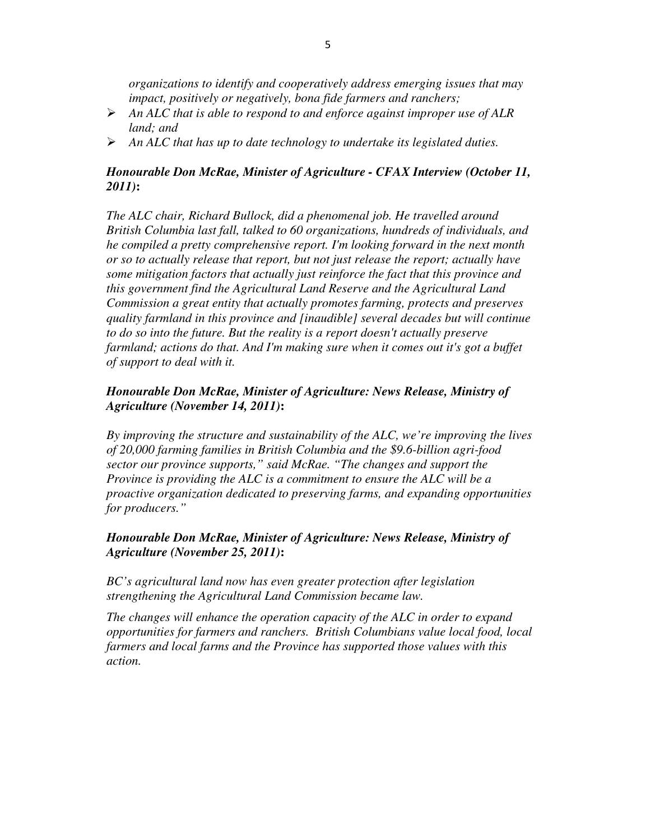*organizations to identify and cooperatively address emerging issues that may impact, positively or negatively, bona fide farmers and ranchers;* 

- *An ALC that is able to respond to and enforce against improper use of ALR land; and*
- *An ALC that has up to date technology to undertake its legislated duties.*

## *Honourable Don McRae, Minister of Agriculture - CFAX Interview (October 11, 2011)***:**

*The ALC chair, Richard Bullock, did a phenomenal job. He travelled around British Columbia last fall, talked to 60 organizations, hundreds of individuals, and he compiled a pretty comprehensive report. I'm looking forward in the next month or so to actually release that report, but not just release the report; actually have some mitigation factors that actually just reinforce the fact that this province and this government find the Agricultural Land Reserve and the Agricultural Land Commission a great entity that actually promotes farming, protects and preserves quality farmland in this province and [inaudible] several decades but will continue to do so into the future. But the reality is a report doesn't actually preserve farmland; actions do that. And I'm making sure when it comes out it's got a buffet of support to deal with it.* 

### *Honourable Don McRae, Minister of Agriculture: News Release, Ministry of Agriculture (November 14, 2011)***:**

*By improving the structure and sustainability of the ALC, we're improving the lives of 20,000 farming families in British Columbia and the \$9.6-billion agri-food sector our province supports," said McRae. "The changes and support the Province is providing the ALC is a commitment to ensure the ALC will be a proactive organization dedicated to preserving farms, and expanding opportunities for producers."* 

## *Honourable Don McRae, Minister of Agriculture: News Release, Ministry of Agriculture (November 25, 2011)***:**

*BC's agricultural land now has even greater protection after legislation strengthening the Agricultural Land Commission became law.* 

*The changes will enhance the operation capacity of the ALC in order to expand opportunities for farmers and ranchers. British Columbians value local food, local farmers and local farms and the Province has supported those values with this action.*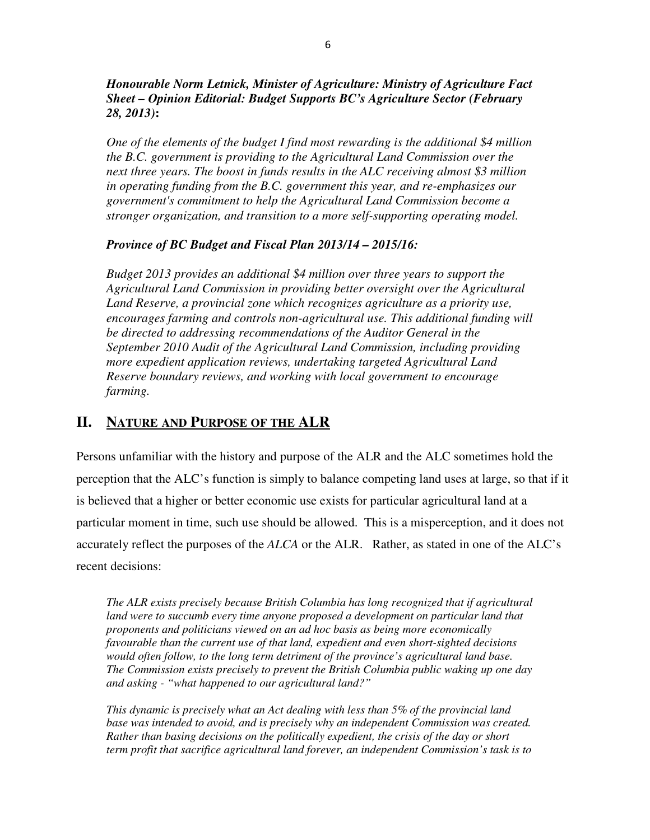*Honourable Norm Letnick, Minister of Agriculture: Ministry of Agriculture Fact Sheet – Opinion Editorial: Budget Supports BC's Agriculture Sector (February 28, 2013)***:**

*One of the elements of the budget I find most rewarding is the additional \$4 million the B.C. government is providing to the Agricultural Land Commission over the next three years. The boost in funds results in the ALC receiving almost \$3 million in operating funding from the B.C. government this year, and re-emphasizes our government's commitment to help the Agricultural Land Commission become a stronger organization, and transition to a more self-supporting operating model.* 

#### *Province of BC Budget and Fiscal Plan 2013/14 – 2015/16:*

*Budget 2013 provides an additional \$4 million over three years to support the Agricultural Land Commission in providing better oversight over the Agricultural*  Land Reserve, a provincial zone which recognizes agriculture as a priority use, *encourages farming and controls non-agricultural use. This additional funding will be directed to addressing recommendations of the Auditor General in the September 2010 Audit of the Agricultural Land Commission, including providing more expedient application reviews, undertaking targeted Agricultural Land Reserve boundary reviews, and working with local government to encourage farming.* 

## **II. NATURE AND PURPOSE OF THE ALR**

Persons unfamiliar with the history and purpose of the ALR and the ALC sometimes hold the perception that the ALC's function is simply to balance competing land uses at large, so that if it is believed that a higher or better economic use exists for particular agricultural land at a particular moment in time, such use should be allowed. This is a misperception, and it does not accurately reflect the purposes of the *ALCA* or the ALR. Rather, as stated in one of the ALC's recent decisions:

*The ALR exists precisely because British Columbia has long recognized that if agricultural land were to succumb every time anyone proposed a development on particular land that proponents and politicians viewed on an ad hoc basis as being more economically favourable than the current use of that land, expedient and even short-sighted decisions would often follow, to the long term detriment of the province's agricultural land base. The Commission exists precisely to prevent the British Columbia public waking up one day and asking - "what happened to our agricultural land?"* 

*This dynamic is precisely what an Act dealing with less than 5% of the provincial land base was intended to avoid, and is precisely why an independent Commission was created. Rather than basing decisions on the politically expedient, the crisis of the day or short term profit that sacrifice agricultural land forever, an independent Commission's task is to*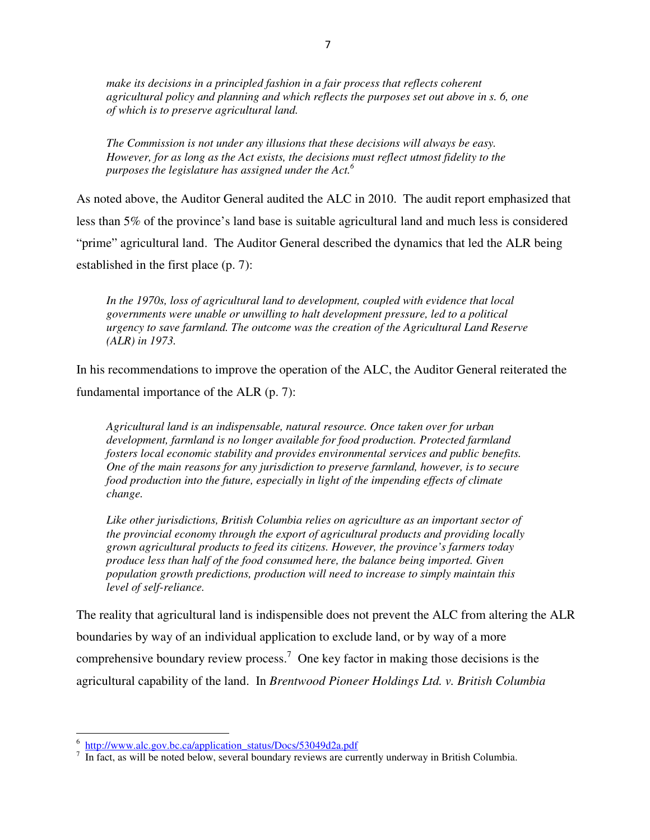*make its decisions in a principled fashion in a fair process that reflects coherent agricultural policy and planning and which reflects the purposes set out above in s. 6, one of which is to preserve agricultural land.* 

*The Commission is not under any illusions that these decisions will always be easy. However, for as long as the Act exists, the decisions must reflect utmost fidelity to the purposes the legislature has assigned under the Act. 6*

As noted above, the Auditor General audited the ALC in 2010. The audit report emphasized that less than 5% of the province's land base is suitable agricultural land and much less is considered "prime" agricultural land. The Auditor General described the dynamics that led the ALR being established in the first place (p. 7):

*In the 1970s, loss of agricultural land to development, coupled with evidence that local governments were unable or unwilling to halt development pressure, led to a political urgency to save farmland. The outcome was the creation of the Agricultural Land Reserve (ALR) in 1973.* 

In his recommendations to improve the operation of the ALC, the Auditor General reiterated the fundamental importance of the ALR (p. 7):

*Agricultural land is an indispensable, natural resource. Once taken over for urban development, farmland is no longer available for food production. Protected farmland fosters local economic stability and provides environmental services and public benefits. One of the main reasons for any jurisdiction to preserve farmland, however, is to secure food production into the future, especially in light of the impending effects of climate change.* 

*Like other jurisdictions, British Columbia relies on agriculture as an important sector of the provincial economy through the export of agricultural products and providing locally grown agricultural products to feed its citizens. However, the province's farmers today produce less than half of the food consumed here, the balance being imported. Given population growth predictions, production will need to increase to simply maintain this level of self-reliance.* 

The reality that agricultural land is indispensible does not prevent the ALC from altering the ALR boundaries by way of an individual application to exclude land, or by way of a more comprehensive boundary review process.<sup>7</sup> One key factor in making those decisions is the agricultural capability of the land. In *Brentwood Pioneer Holdings Ltd. v. British Columbia*

<sup>&</sup>lt;sup>6</sup> http://www.alc.gov.bc.ca/application\_status/Docs/53049d2a.pdf

 $<sup>7</sup>$  In fact, as will be noted below, several boundary reviews are currently underway in British Columbia.</sup>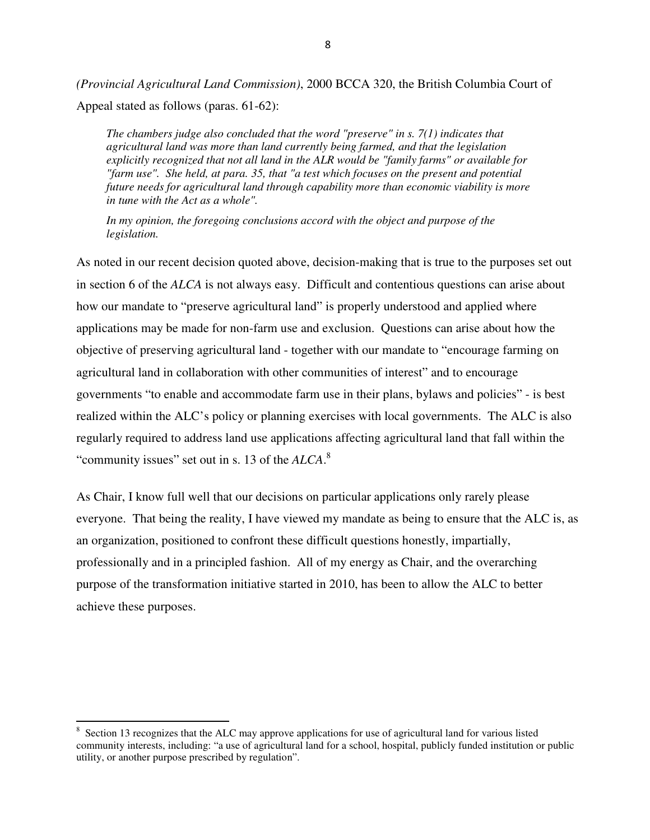*(Provincial Agricultural Land Commission)*, 2000 BCCA 320, the British Columbia Court of Appeal stated as follows (paras. 61-62):

*The chambers judge also concluded that the word "preserve" in s. 7(1) indicates that agricultural land was more than land currently being farmed, and that the legislation explicitly recognized that not all land in the ALR would be "family farms" or available for "farm use". She held, at para. 35, that "a test which focuses on the present and potential future needs for agricultural land through capability more than economic viability is more in tune with the Act as a whole".* 

*In my opinion, the foregoing conclusions accord with the object and purpose of the legislation.* 

As noted in our recent decision quoted above, decision-making that is true to the purposes set out in section 6 of the *ALCA* is not always easy. Difficult and contentious questions can arise about how our mandate to "preserve agricultural land" is properly understood and applied where applications may be made for non-farm use and exclusion. Questions can arise about how the objective of preserving agricultural land - together with our mandate to "encourage farming on agricultural land in collaboration with other communities of interest" and to encourage governments "to enable and accommodate farm use in their plans, bylaws and policies" - is best realized within the ALC's policy or planning exercises with local governments. The ALC is also regularly required to address land use applications affecting agricultural land that fall within the "community issues" set out in s. 13 of the *ALCA*. 8

As Chair, I know full well that our decisions on particular applications only rarely please everyone. That being the reality, I have viewed my mandate as being to ensure that the ALC is, as an organization, positioned to confront these difficult questions honestly, impartially, professionally and in a principled fashion. All of my energy as Chair, and the overarching purpose of the transformation initiative started in 2010, has been to allow the ALC to better achieve these purposes.

l

<sup>&</sup>lt;sup>8</sup> Section 13 recognizes that the ALC may approve applications for use of agricultural land for various listed community interests, including: "a use of agricultural land for a school, hospital, publicly funded institution or public utility, or another purpose prescribed by regulation".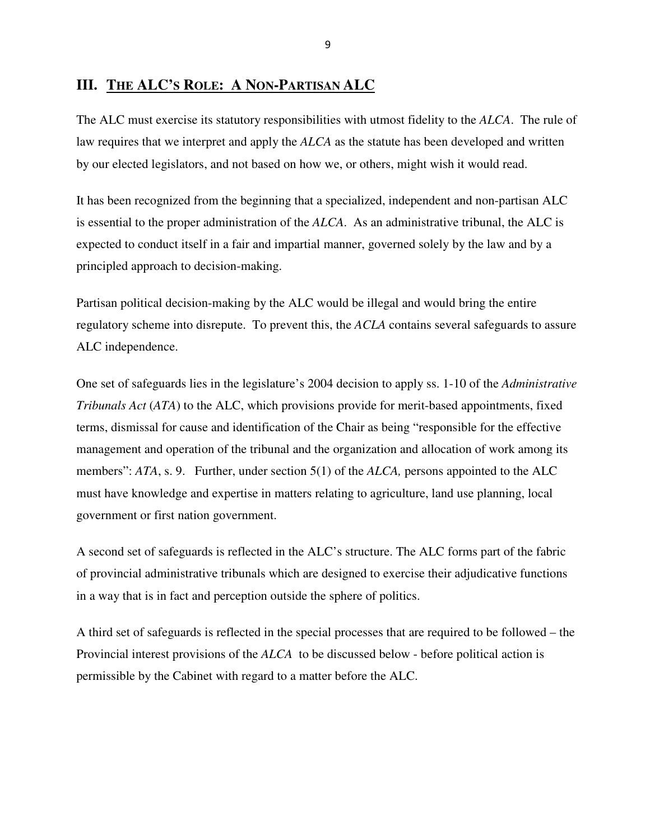## **III. THE ALC'S ROLE: A NON-PARTISAN ALC**

The ALC must exercise its statutory responsibilities with utmost fidelity to the *ALCA*. The rule of law requires that we interpret and apply the *ALCA* as the statute has been developed and written by our elected legislators, and not based on how we, or others, might wish it would read.

It has been recognized from the beginning that a specialized, independent and non-partisan ALC is essential to the proper administration of the *ALCA*. As an administrative tribunal, the ALC is expected to conduct itself in a fair and impartial manner, governed solely by the law and by a principled approach to decision-making.

Partisan political decision-making by the ALC would be illegal and would bring the entire regulatory scheme into disrepute. To prevent this, the *ACLA* contains several safeguards to assure ALC independence.

One set of safeguards lies in the legislature's 2004 decision to apply ss. 1-10 of the *Administrative Tribunals Act* (*ATA*) to the ALC, which provisions provide for merit-based appointments, fixed terms, dismissal for cause and identification of the Chair as being "responsible for the effective management and operation of the tribunal and the organization and allocation of work among its members": *ATA*, s. 9. Further, under section 5(1) of the *ALCA*, persons appointed to the ALC must have knowledge and expertise in matters relating to agriculture, land use planning, local government or first nation government.

A second set of safeguards is reflected in the ALC's structure. The ALC forms part of the fabric of provincial administrative tribunals which are designed to exercise their adjudicative functions in a way that is in fact and perception outside the sphere of politics.

A third set of safeguards is reflected in the special processes that are required to be followed – the Provincial interest provisions of the *ALCA* to be discussed below - before political action is permissible by the Cabinet with regard to a matter before the ALC.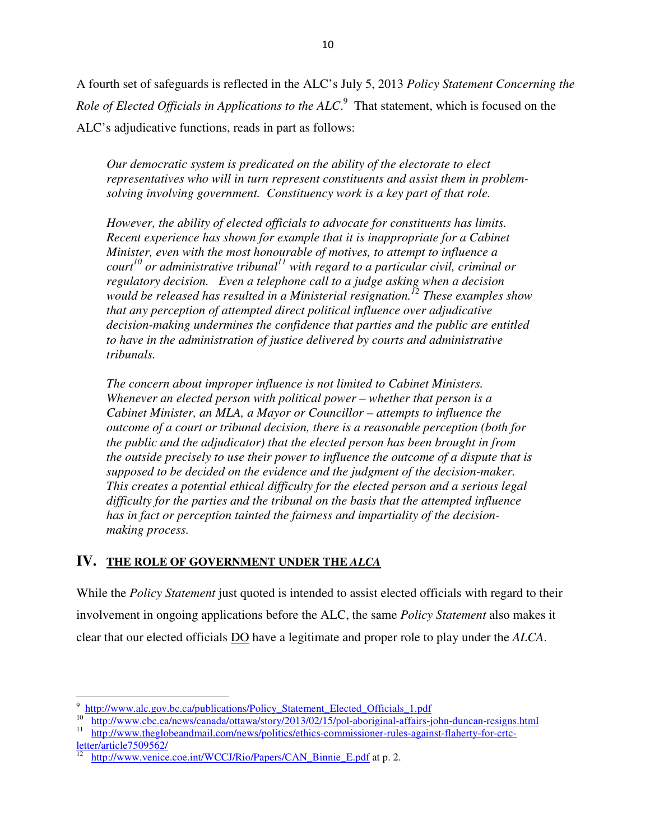A fourth set of safeguards is reflected in the ALC's July 5, 2013 *Policy Statement Concerning the*  Role of Elected Officials in Applications to the ALC.<sup>9</sup> That statement, which is focused on the ALC's adjudicative functions, reads in part as follows:

*Our democratic system is predicated on the ability of the electorate to elect representatives who will in turn represent constituents and assist them in problemsolving involving government. Constituency work is a key part of that role.* 

*However, the ability of elected officials to advocate for constituents has limits. Recent experience has shown for example that it is inappropriate for a Cabinet Minister, even with the most honourable of motives, to attempt to influence a court<sup>10</sup> or administrative tribunal<sup>11</sup> with regard to a particular civil, criminal or regulatory decision. Even a telephone call to a judge asking when a decision would be released has resulted in a Ministerial resignation.<sup>12</sup> These examples show that any perception of attempted direct political influence over adjudicative decision-making undermines the confidence that parties and the public are entitled to have in the administration of justice delivered by courts and administrative tribunals.* 

*The concern about improper influence is not limited to Cabinet Ministers. Whenever an elected person with political power – whether that person is a Cabinet Minister, an MLA, a Mayor or Councillor – attempts to influence the outcome of a court or tribunal decision, there is a reasonable perception (both for the public and the adjudicator) that the elected person has been brought in from the outside precisely to use their power to influence the outcome of a dispute that is supposed to be decided on the evidence and the judgment of the decision-maker. This creates a potential ethical difficulty for the elected person and a serious legal difficulty for the parties and the tribunal on the basis that the attempted influence has in fact or perception tainted the fairness and impartiality of the decisionmaking process.*

## **IV. THE ROLE OF GOVERNMENT UNDER THE** *ALCA*

While the *Policy Statement* just quoted is intended to assist elected officials with regard to their involvement in ongoing applications before the ALC, the same *Policy Statement* also makes it clear that our elected officials DO have a legitimate and proper role to play under the *ALCA*.

 $\overline{\phantom{a}}$ 

<sup>9</sup> http://www.alc.gov.bc.ca/publications/Policy\_Statement\_Elected\_Officials\_1.pdf

<sup>&</sup>lt;sup>10</sup> http://www.cbc.ca/news/canada/ottawa/story/2013/02/15/pol-aboriginal-affairs-john-duncan-resigns.html

<sup>&</sup>lt;sup>11</sup> http://www.theglobeandmail.com/news/politics/ethics-commissioner-rules-against-flaherty-for-crtc- $\frac{\text{letter/article}7509562}{^{12} \text{ http://www.venice}}$ 

http://www.venice.coe.int/WCCJ/Rio/Papers/CAN\_Binnie\_E.pdf at p. 2.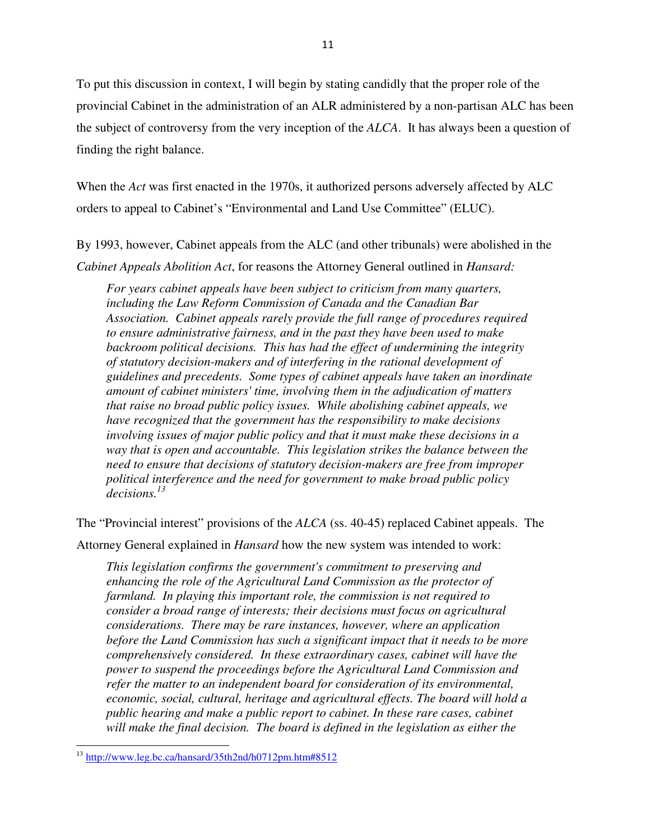To put this discussion in context, I will begin by stating candidly that the proper role of the provincial Cabinet in the administration of an ALR administered by a non-partisan ALC has been the subject of controversy from the very inception of the *ALCA*. It has always been a question of finding the right balance.

When the *Act* was first enacted in the 1970s, it authorized persons adversely affected by ALC orders to appeal to Cabinet's "Environmental and Land Use Committee" (ELUC).

By 1993, however, Cabinet appeals from the ALC (and other tribunals) were abolished in the *Cabinet Appeals Abolition Act*, for reasons the Attorney General outlined in *Hansard:*

*For years cabinet appeals have been subject to criticism from many quarters, including the Law Reform Commission of Canada and the Canadian Bar Association. Cabinet appeals rarely provide the full range of procedures required to ensure administrative fairness, and in the past they have been used to make backroom political decisions. This has had the effect of undermining the integrity of statutory decision-makers and of interfering in the rational development of guidelines and precedents. Some types of cabinet appeals have taken an inordinate amount of cabinet ministers' time, involving them in the adjudication of matters that raise no broad public policy issues. While abolishing cabinet appeals, we have recognized that the government has the responsibility to make decisions involving issues of major public policy and that it must make these decisions in a way that is open and accountable. This legislation strikes the balance between the need to ensure that decisions of statutory decision-makers are free from improper political interference and the need for government to make broad public policy decisions.<sup>13</sup>*

The "Provincial interest" provisions of the *ALCA* (ss. 40-45) replaced Cabinet appeals. The Attorney General explained in *Hansard* how the new system was intended to work:

*This legislation confirms the government's commitment to preserving and enhancing the role of the Agricultural Land Commission as the protector of farmland. In playing this important role, the commission is not required to consider a broad range of interests; their decisions must focus on agricultural considerations. There may be rare instances, however, where an application before the Land Commission has such a significant impact that it needs to be more comprehensively considered. In these extraordinary cases, cabinet will have the power to suspend the proceedings before the Agricultural Land Commission and refer the matter to an independent board for consideration of its environmental, economic, social, cultural, heritage and agricultural effects. The board will hold a public hearing and make a public report to cabinet. In these rare cases, cabinet will make the final decision. The board is defined in the legislation as either the* 

<sup>13</sup> http://www.leg.bc.ca/hansard/35th2nd/h0712pm.htm#8512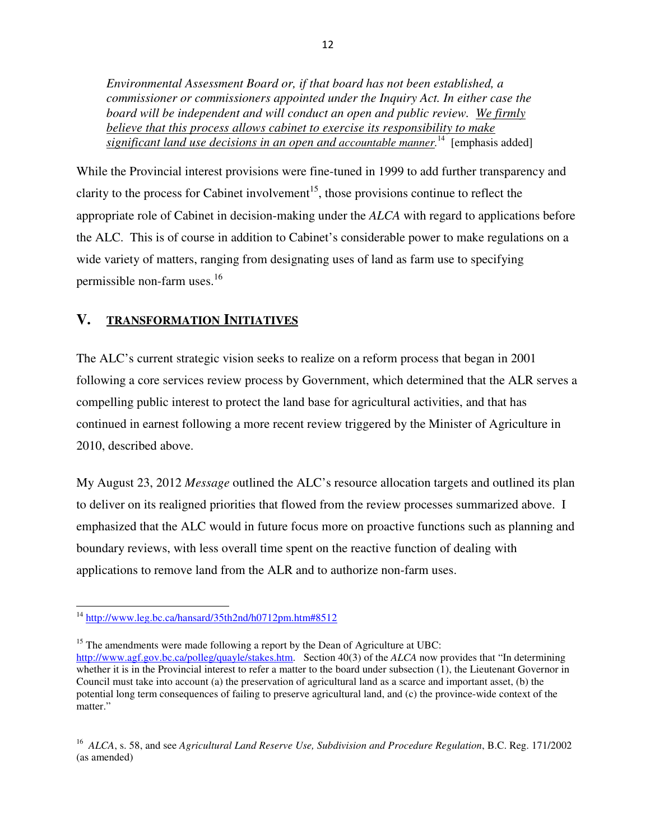*Environmental Assessment Board or, if that board has not been established, a commissioner or commissioners appointed under the Inquiry Act. In either case the board will be independent and will conduct an open and public review. We firmly believe that this process allows cabinet to exercise its responsibility to make significant land use decisions in an open and accountable manner.* <sup>14</sup> [emphasis added]

While the Provincial interest provisions were fine-tuned in 1999 to add further transparency and clarity to the process for Cabinet involvement<sup>15</sup>, those provisions continue to reflect the appropriate role of Cabinet in decision-making under the *ALCA* with regard to applications before the ALC. This is of course in addition to Cabinet's considerable power to make regulations on a wide variety of matters, ranging from designating uses of land as farm use to specifying permissible non-farm uses.<sup>16</sup>

## **V. TRANSFORMATION INITIATIVES**

The ALC's current strategic vision seeks to realize on a reform process that began in 2001 following a core services review process by Government, which determined that the ALR serves a compelling public interest to protect the land base for agricultural activities, and that has continued in earnest following a more recent review triggered by the Minister of Agriculture in 2010, described above.

My August 23, 2012 *Message* outlined the ALC's resource allocation targets and outlined its plan to deliver on its realigned priorities that flowed from the review processes summarized above. I emphasized that the ALC would in future focus more on proactive functions such as planning and boundary reviews, with less overall time spent on the reactive function of dealing with applications to remove land from the ALR and to authorize non-farm uses.

l

<sup>&</sup>lt;sup>14</sup> http://www.leg.bc.ca/hansard/35th2nd/h0712pm.htm#8512

<sup>&</sup>lt;sup>15</sup> The amendments were made following a report by the Dean of Agriculture at UBC: http://www.agf.gov.bc.ca/polleg/quayle/stakes.htm. Section 40(3) of the *ALCA* now provides that "In determining whether it is in the Provincial interest to refer a matter to the board under subsection (1), the Lieutenant Governor in Council must take into account (a) the preservation of agricultural land as a scarce and important asset, (b) the potential long term consequences of failing to preserve agricultural land, and (c) the province-wide context of the matter."

<sup>&</sup>lt;sup>16</sup> ALCA, s. 58, and see *Agricultural Land Reserve Use, Subdivision and Procedure Regulation*, B.C. Reg. 171/2002 (as amended)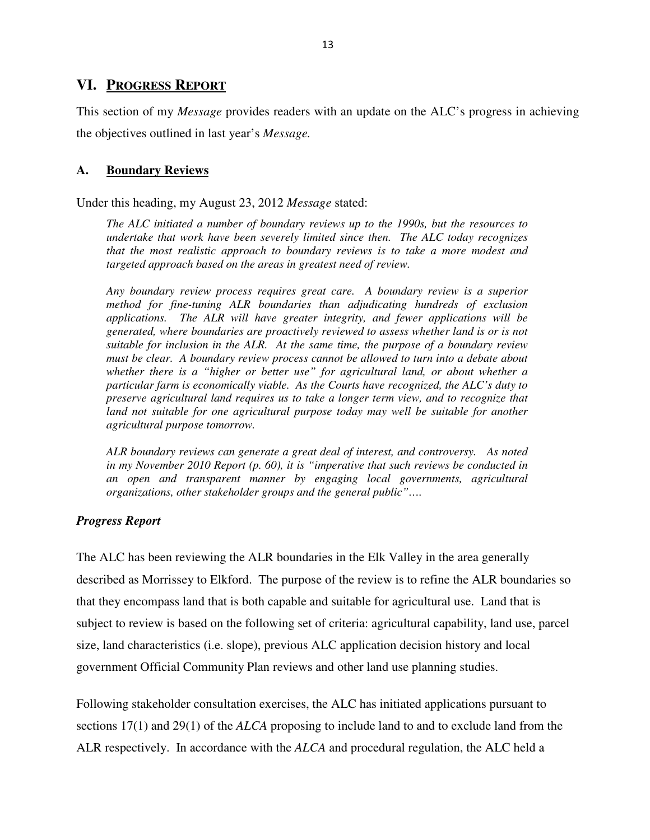### **VI. PROGRESS REPORT**

This section of my *Message* provides readers with an update on the ALC's progress in achieving the objectives outlined in last year's *Message.*

#### **A. Boundary Reviews**

Under this heading, my August 23, 2012 *Message* stated:

*The ALC initiated a number of boundary reviews up to the 1990s, but the resources to undertake that work have been severely limited since then. The ALC today recognizes that the most realistic approach to boundary reviews is to take a more modest and targeted approach based on the areas in greatest need of review.* 

*Any boundary review process requires great care. A boundary review is a superior method for fine-tuning ALR boundaries than adjudicating hundreds of exclusion applications. The ALR will have greater integrity, and fewer applications will be generated, where boundaries are proactively reviewed to assess whether land is or is not suitable for inclusion in the ALR. At the same time, the purpose of a boundary review must be clear. A boundary review process cannot be allowed to turn into a debate about whether there is a "higher or better use" for agricultural land, or about whether a particular farm is economically viable. As the Courts have recognized, the ALC's duty to preserve agricultural land requires us to take a longer term view, and to recognize that land not suitable for one agricultural purpose today may well be suitable for another agricultural purpose tomorrow.* 

*ALR boundary reviews can generate a great deal of interest, and controversy. As noted in my November 2010 Report (p. 60), it is "imperative that such reviews be conducted in an open and transparent manner by engaging local governments, agricultural organizations, other stakeholder groups and the general public"….* 

#### *Progress Report*

The ALC has been reviewing the ALR boundaries in the Elk Valley in the area generally described as Morrissey to Elkford. The purpose of the review is to refine the ALR boundaries so that they encompass land that is both capable and suitable for agricultural use. Land that is subject to review is based on the following set of criteria: agricultural capability, land use, parcel size, land characteristics (i.e. slope), previous ALC application decision history and local government Official Community Plan reviews and other land use planning studies.

Following stakeholder consultation exercises, the ALC has initiated applications pursuant to sections 17(1) and 29(1) of the *ALCA* proposing to include land to and to exclude land from the ALR respectively. In accordance with the *ALCA* and procedural regulation, the ALC held a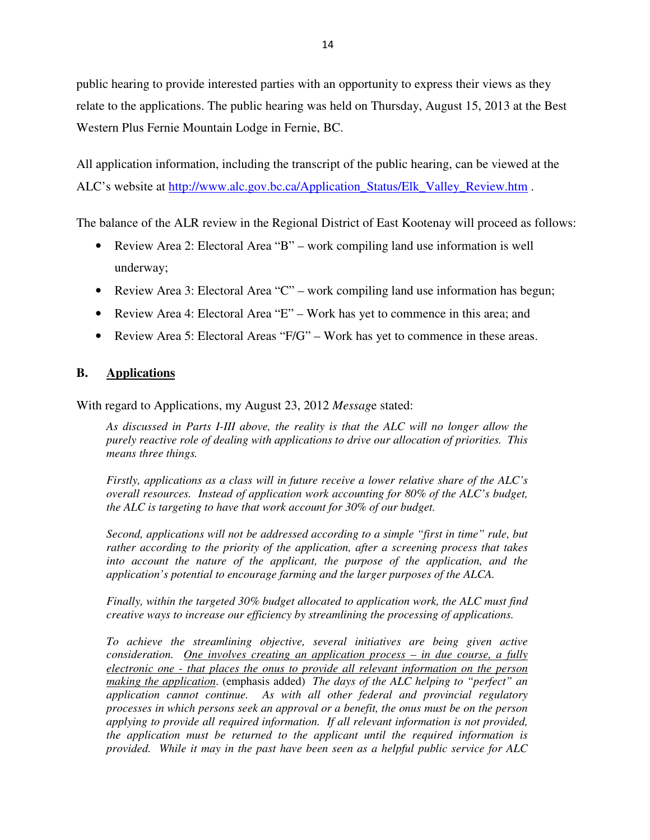public hearing to provide interested parties with an opportunity to express their views as they relate to the applications. The public hearing was held on Thursday, August 15, 2013 at the Best Western Plus Fernie Mountain Lodge in Fernie, BC.

All application information, including the transcript of the public hearing, can be viewed at the ALC's website at http://www.alc.gov.bc.ca/Application\_Status/Elk\_Valley\_Review.htm .

The balance of the ALR review in the Regional District of East Kootenay will proceed as follows:

- Review Area 2: Electoral Area "B" work compiling land use information is well underway;
- Review Area 3: Electoral Area "C" work compiling land use information has begun;
- Review Area 4: Electoral Area "E" Work has yet to commence in this area; and
- Review Area 5: Electoral Areas "F/G" Work has yet to commence in these areas.

## **B. Applications**

With regard to Applications, my August 23, 2012 *Messag*e stated:

*As discussed in Parts I-III above, the reality is that the ALC will no longer allow the purely reactive role of dealing with applications to drive our allocation of priorities. This means three things.* 

*Firstly, applications as a class will in future receive a lower relative share of the ALC's overall resources. Instead of application work accounting for 80% of the ALC's budget, the ALC is targeting to have that work account for 30% of our budget.* 

*Second, applications will not be addressed according to a simple "first in time" rule, but rather according to the priority of the application, after a screening process that takes into account the nature of the applicant, the purpose of the application, and the application's potential to encourage farming and the larger purposes of the ALCA.* 

*Finally, within the targeted 30% budget allocated to application work, the ALC must find creative ways to increase our efficiency by streamlining the processing of applications.* 

*To achieve the streamlining objective, several initiatives are being given active consideration. One involves creating an application process – in due course, a fully electronic one - that places the onus to provide all relevant information on the person making the application*. (emphasis added) *The days of the ALC helping to "perfect" an application cannot continue. As with all other federal and provincial regulatory processes in which persons seek an approval or a benefit, the onus must be on the person applying to provide all required information. If all relevant information is not provided, the application must be returned to the applicant until the required information is provided. While it may in the past have been seen as a helpful public service for ALC*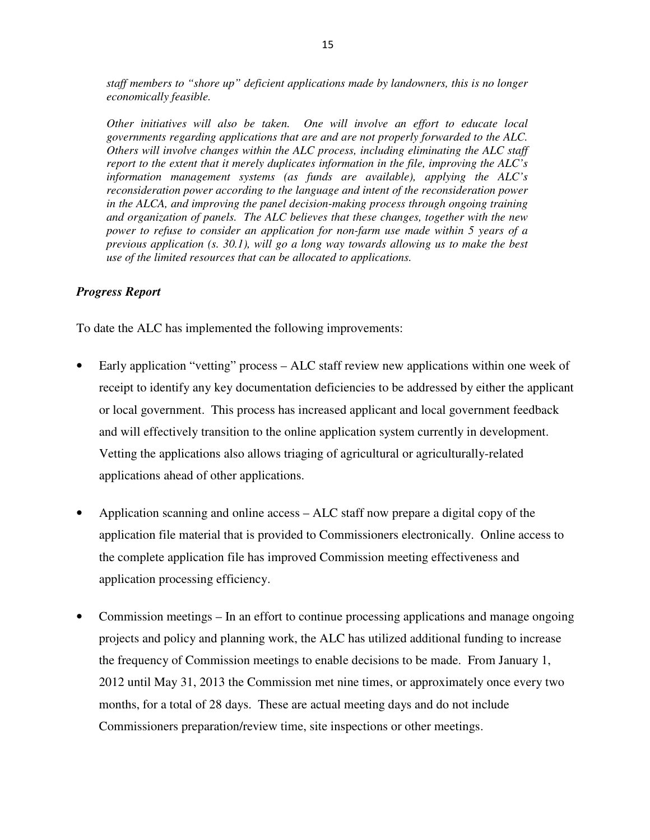*staff members to "shore up" deficient applications made by landowners, this is no longer economically feasible.* 

*Other initiatives will also be taken. One will involve an effort to educate local governments regarding applications that are and are not properly forwarded to the ALC. Others will involve changes within the ALC process, including eliminating the ALC staff report to the extent that it merely duplicates information in the file, improving the ALC's information management systems (as funds are available), applying the ALC's reconsideration power according to the language and intent of the reconsideration power in the ALCA, and improving the panel decision-making process through ongoing training and organization of panels. The ALC believes that these changes, together with the new power to refuse to consider an application for non-farm use made within 5 years of a previous application (s. 30.1), will go a long way towards allowing us to make the best use of the limited resources that can be allocated to applications.* 

#### *Progress Report*

To date the ALC has implemented the following improvements:

- Early application "vetting" process ALC staff review new applications within one week of receipt to identify any key documentation deficiencies to be addressed by either the applicant or local government. This process has increased applicant and local government feedback and will effectively transition to the online application system currently in development. Vetting the applications also allows triaging of agricultural or agriculturally-related applications ahead of other applications.
- Application scanning and online access ALC staff now prepare a digital copy of the application file material that is provided to Commissioners electronically. Online access to the complete application file has improved Commission meeting effectiveness and application processing efficiency.
- Commission meetings In an effort to continue processing applications and manage ongoing projects and policy and planning work, the ALC has utilized additional funding to increase the frequency of Commission meetings to enable decisions to be made. From January 1, 2012 until May 31, 2013 the Commission met nine times, or approximately once every two months, for a total of 28 days. These are actual meeting days and do not include Commissioners preparation/review time, site inspections or other meetings.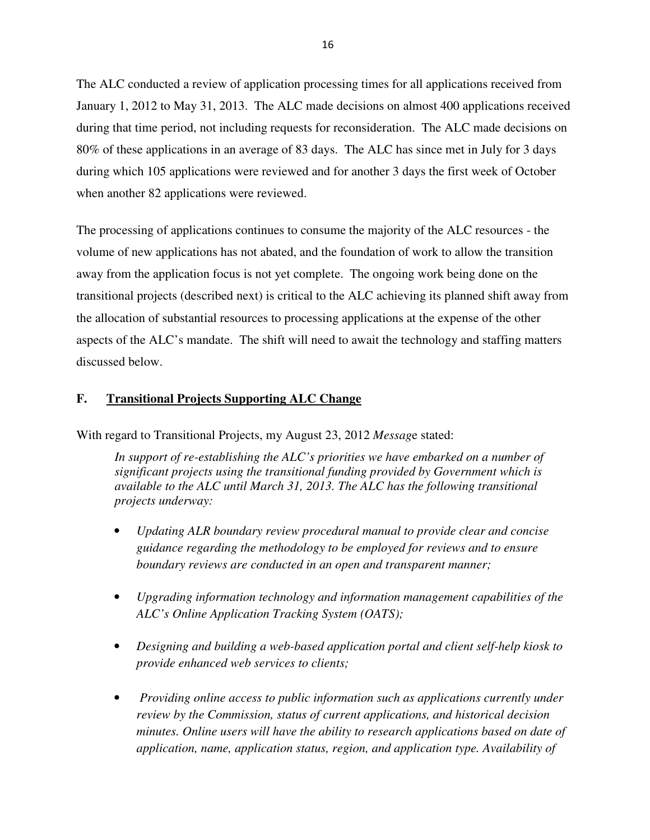The ALC conducted a review of application processing times for all applications received from January 1, 2012 to May 31, 2013. The ALC made decisions on almost 400 applications received during that time period, not including requests for reconsideration. The ALC made decisions on 80% of these applications in an average of 83 days. The ALC has since met in July for 3 days during which 105 applications were reviewed and for another 3 days the first week of October when another 82 applications were reviewed.

The processing of applications continues to consume the majority of the ALC resources - the volume of new applications has not abated, and the foundation of work to allow the transition away from the application focus is not yet complete. The ongoing work being done on the transitional projects (described next) is critical to the ALC achieving its planned shift away from the allocation of substantial resources to processing applications at the expense of the other aspects of the ALC's mandate. The shift will need to await the technology and staffing matters discussed below.

#### **F. Transitional Projects Supporting ALC Change**

With regard to Transitional Projects, my August 23, 2012 *Messag*e stated:

In support of re-establishing the ALC's priorities we have embarked on a number of *significant projects using the transitional funding provided by Government which is available to the ALC until March 31, 2013. The ALC has the following transitional projects underway:* 

- *Updating ALR boundary review procedural manual to provide clear and concise guidance regarding the methodology to be employed for reviews and to ensure boundary reviews are conducted in an open and transparent manner;*
- *Upgrading information technology and information management capabilities of the ALC's Online Application Tracking System (OATS);*
- *Designing and building a web-based application portal and client self-help kiosk to provide enhanced web services to clients;*
- • *Providing online access to public information such as applications currently under review by the Commission, status of current applications, and historical decision minutes. Online users will have the ability to research applications based on date of application, name, application status, region, and application type. Availability of*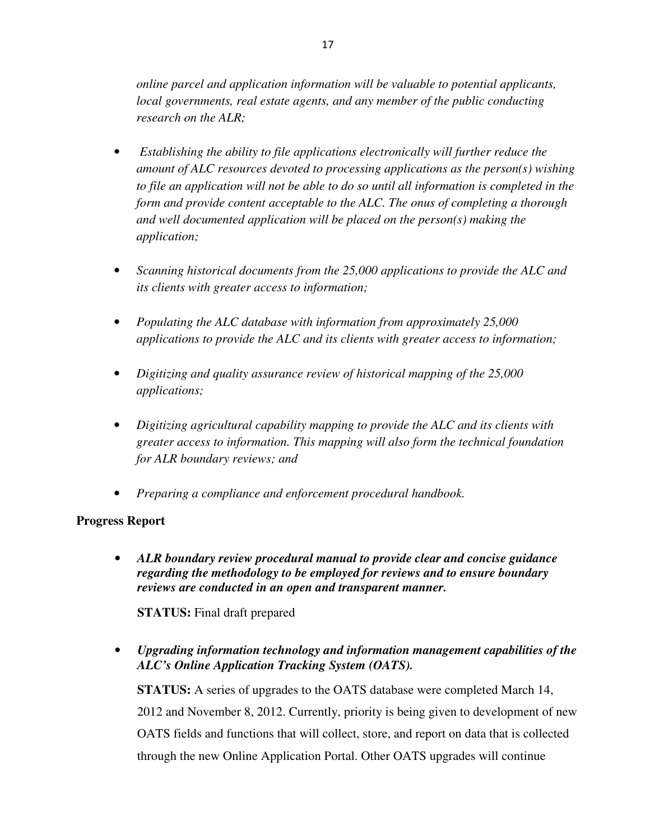*online parcel and application information will be valuable to potential applicants, local governments, real estate agents, and any member of the public conducting research on the ALR;* 

- • *Establishing the ability to file applications electronically will further reduce the amount of ALC resources devoted to processing applications as the person(s) wishing to file an application will not be able to do so until all information is completed in the form and provide content acceptable to the ALC. The onus of completing a thorough and well documented application will be placed on the person(s) making the application;*
- *Scanning historical documents from the 25,000 applications to provide the ALC and its clients with greater access to information;*
- *Populating the ALC database with information from approximately 25,000 applications to provide the ALC and its clients with greater access to information;*
- *Digitizing and quality assurance review of historical mapping of the 25,000 applications;*
- *Digitizing agricultural capability mapping to provide the ALC and its clients with greater access to information. This mapping will also form the technical foundation for ALR boundary reviews; and*
- *Preparing a compliance and enforcement procedural handbook.*

## **Progress Report**

• *ALR boundary review procedural manual to provide clear and concise guidance regarding the methodology to be employed for reviews and to ensure boundary reviews are conducted in an open and transparent manner.* 

**STATUS:** Final draft prepared

• *Upgrading information technology and information management capabilities of the ALC's Online Application Tracking System (OATS).* 

**STATUS:** A series of upgrades to the OATS database were completed March 14, 2012 and November 8, 2012. Currently, priority is being given to development of new OATS fields and functions that will collect, store, and report on data that is collected through the new Online Application Portal. Other OATS upgrades will continue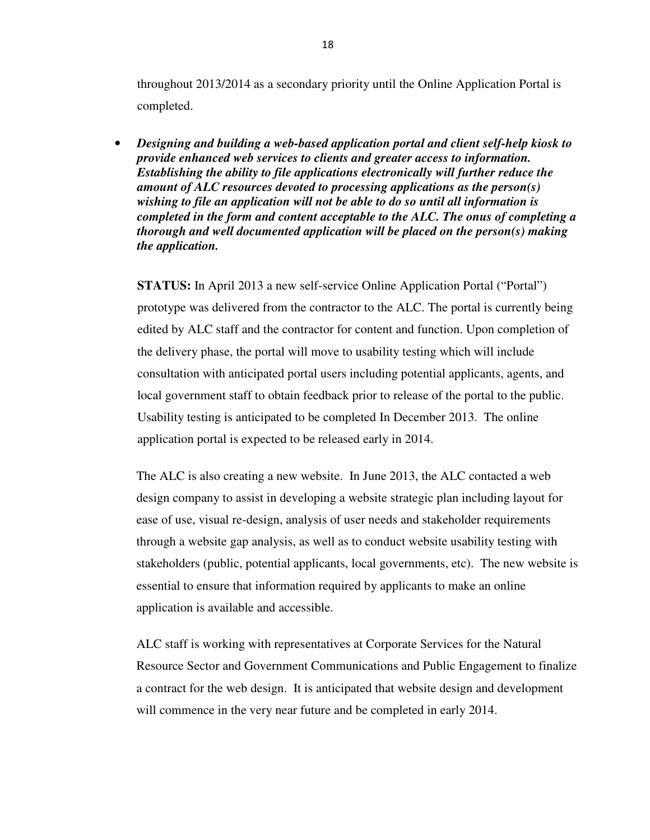throughout 2013/2014 as a secondary priority until the Online Application Portal is completed.

• *Designing and building a web-based application portal and client self-help kiosk to provide enhanced web services to clients and greater access to information. Establishing the ability to file applications electronically will further reduce the amount of ALC resources devoted to processing applications as the person(s) wishing to file an application will not be able to do so until all information is completed in the form and content acceptable to the ALC. The onus of completing a thorough and well documented application will be placed on the person(s) making the application.* 

**STATUS:** In April 2013 a new self-service Online Application Portal ("Portal") prototype was delivered from the contractor to the ALC. The portal is currently being edited by ALC staff and the contractor for content and function. Upon completion of the delivery phase, the portal will move to usability testing which will include consultation with anticipated portal users including potential applicants, agents, and local government staff to obtain feedback prior to release of the portal to the public. Usability testing is anticipated to be completed In December 2013. The online application portal is expected to be released early in 2014.

The ALC is also creating a new website. In June 2013, the ALC contacted a web design company to assist in developing a website strategic plan including layout for ease of use, visual re-design, analysis of user needs and stakeholder requirements through a website gap analysis, as well as to conduct website usability testing with stakeholders (public, potential applicants, local governments, etc). The new website is essential to ensure that information required by applicants to make an online application is available and accessible.

ALC staff is working with representatives at Corporate Services for the Natural Resource Sector and Government Communications and Public Engagement to finalize a contract for the web design. It is anticipated that website design and development will commence in the very near future and be completed in early 2014.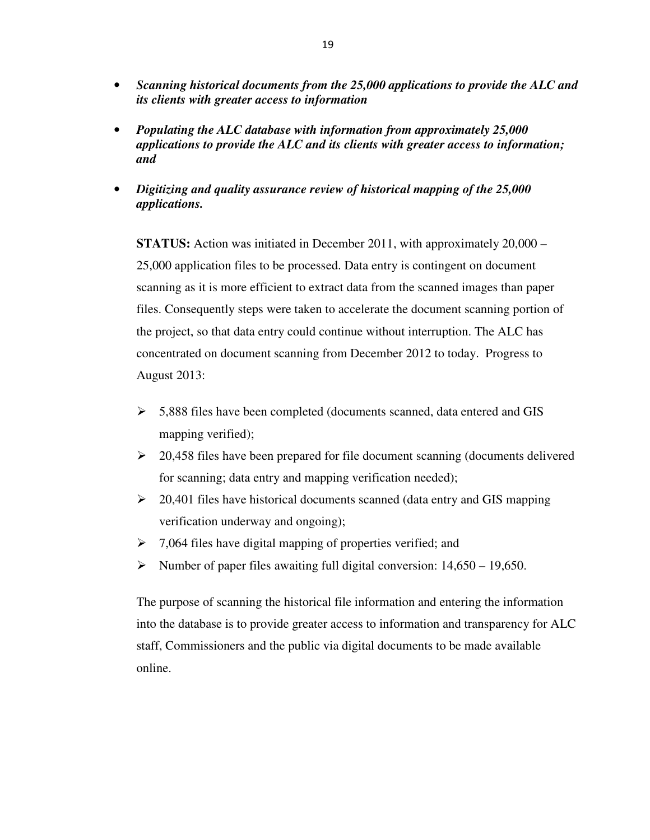- *Scanning historical documents from the 25,000 applications to provide the ALC and its clients with greater access to information*
- *Populating the ALC database with information from approximately 25,000 applications to provide the ALC and its clients with greater access to information; and*
- *Digitizing and quality assurance review of historical mapping of the 25,000 applications.*

**STATUS:** Action was initiated in December 2011, with approximately 20,000 – 25,000 application files to be processed. Data entry is contingent on document scanning as it is more efficient to extract data from the scanned images than paper files. Consequently steps were taken to accelerate the document scanning portion of the project, so that data entry could continue without interruption. The ALC has concentrated on document scanning from December 2012 to today. Progress to August 2013:

- $\geq$  5,888 files have been completed (documents scanned, data entered and GIS mapping verified);
- $\geq 20,458$  files have been prepared for file document scanning (documents delivered for scanning; data entry and mapping verification needed);
- $\geq$  20,401 files have historical documents scanned (data entry and GIS mapping verification underway and ongoing);
- $\geq 7,064$  files have digital mapping of properties verified; and
- Number of paper files awaiting full digital conversion:  $14,650 19,650$ .

The purpose of scanning the historical file information and entering the information into the database is to provide greater access to information and transparency for ALC staff, Commissioners and the public via digital documents to be made available online.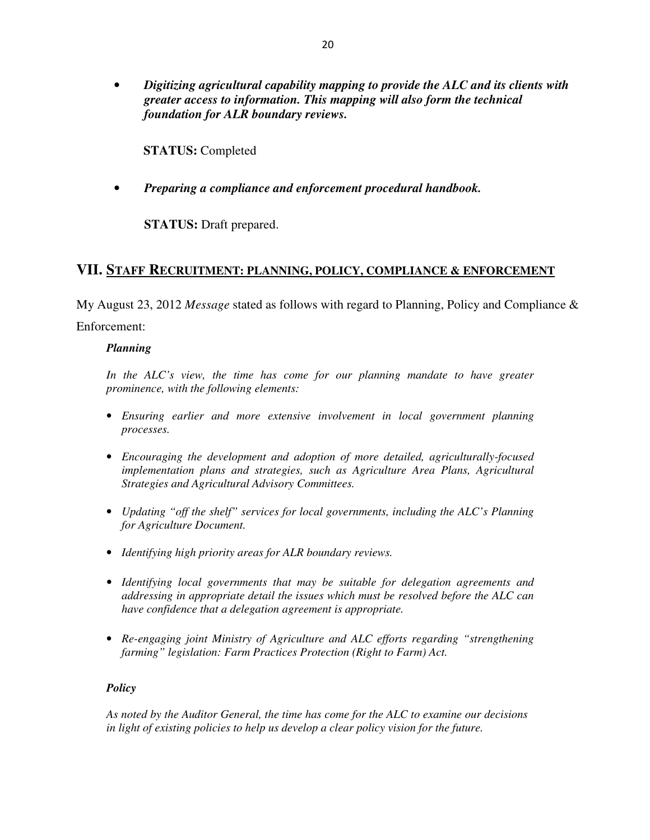• *Digitizing agricultural capability mapping to provide the ALC and its clients with greater access to information. This mapping will also form the technical foundation for ALR boundary reviews.* 

**STATUS:** Completed

• *Preparing a compliance and enforcement procedural handbook.* 

**STATUS:** Draft prepared.

## **VII. STAFF RECRUITMENT: PLANNING, POLICY, COMPLIANCE & ENFORCEMENT**

My August 23, 2012 *Message* stated as follows with regard to Planning, Policy and Compliance &

Enforcement:

#### *Planning*

In the ALC's view, the time has come for our planning mandate to have greater *prominence, with the following elements:* 

- *Ensuring earlier and more extensive involvement in local government planning processes.*
- *Encouraging the development and adoption of more detailed, agriculturally-focused implementation plans and strategies, such as Agriculture Area Plans, Agricultural Strategies and Agricultural Advisory Committees.*
- *Updating "off the shelf" services for local governments, including the ALC's Planning for Agriculture Document.*
- *Identifying high priority areas for ALR boundary reviews.*
- *Identifying local governments that may be suitable for delegation agreements and addressing in appropriate detail the issues which must be resolved before the ALC can have confidence that a delegation agreement is appropriate.*
- *Re-engaging joint Ministry of Agriculture and ALC efforts regarding "strengthening farming" legislation: Farm Practices Protection (Right to Farm) Act.*

#### *Policy*

*As noted by the Auditor General, the time has come for the ALC to examine our decisions in light of existing policies to help us develop a clear policy vision for the future.*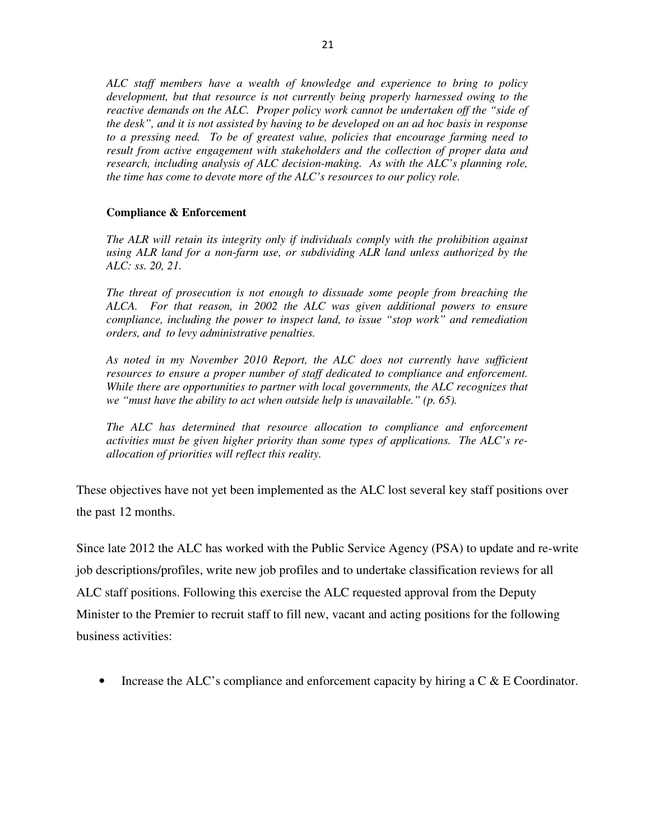*ALC staff members have a wealth of knowledge and experience to bring to policy development, but that resource is not currently being properly harnessed owing to the reactive demands on the ALC. Proper policy work cannot be undertaken off the "side of the desk", and it is not assisted by having to be developed on an ad hoc basis in response to a pressing need. To be of greatest value, policies that encourage farming need to result from active engagement with stakeholders and the collection of proper data and research, including analysis of ALC decision-making. As with the ALC's planning role, the time has come to devote more of the ALC's resources to our policy role.* 

#### **Compliance & Enforcement**

*The ALR will retain its integrity only if individuals comply with the prohibition against using ALR land for a non-farm use, or subdividing ALR land unless authorized by the ALC: ss. 20, 21.* 

*The threat of prosecution is not enough to dissuade some people from breaching the ALCA. For that reason, in 2002 the ALC was given additional powers to ensure compliance, including the power to inspect land, to issue "stop work" and remediation orders, and to levy administrative penalties.* 

*As noted in my November 2010 Report, the ALC does not currently have sufficient resources to ensure a proper number of staff dedicated to compliance and enforcement. While there are opportunities to partner with local governments, the ALC recognizes that we "must have the ability to act when outside help is unavailable." (p. 65).* 

*The ALC has determined that resource allocation to compliance and enforcement activities must be given higher priority than some types of applications. The ALC's reallocation of priorities will reflect this reality.*

These objectives have not yet been implemented as the ALC lost several key staff positions over the past 12 months.

Since late 2012 the ALC has worked with the Public Service Agency (PSA) to update and re-write job descriptions/profiles, write new job profiles and to undertake classification reviews for all ALC staff positions. Following this exercise the ALC requested approval from the Deputy Minister to the Premier to recruit staff to fill new, vacant and acting positions for the following business activities:

• Increase the ALC's compliance and enforcement capacity by hiring a  $C \& E$  Coordinator.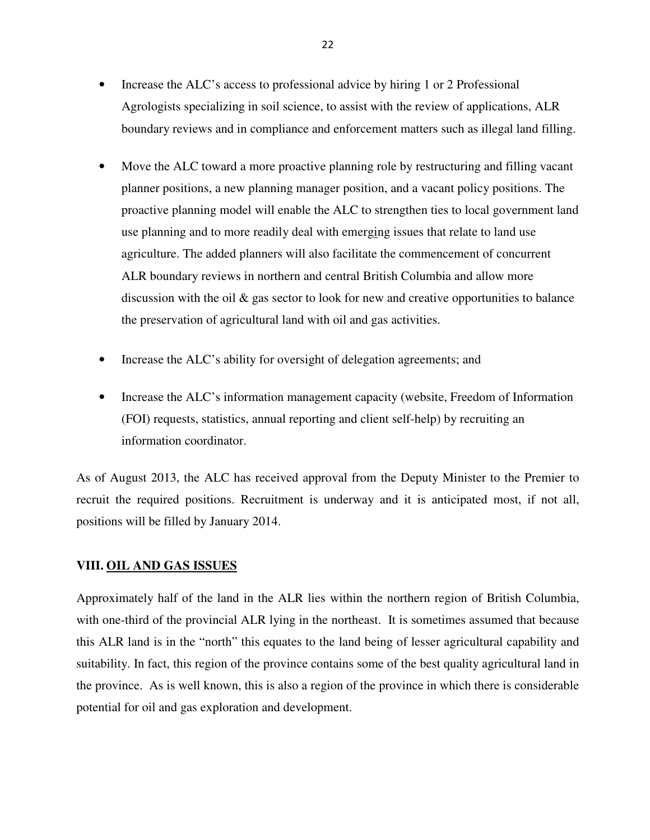- Increase the ALC's access to professional advice by hiring 1 or 2 Professional Agrologists specializing in soil science, to assist with the review of applications, ALR boundary reviews and in compliance and enforcement matters such as illegal land filling.
- Move the ALC toward a more proactive planning role by restructuring and filling vacant planner positions, a new planning manager position, and a vacant policy positions. The proactive planning model will enable the ALC to strengthen ties to local government land use planning and to more readily deal with emerging issues that relate to land use agriculture. The added planners will also facilitate the commencement of concurrent ALR boundary reviews in northern and central British Columbia and allow more discussion with the oil & gas sector to look for new and creative opportunities to balance the preservation of agricultural land with oil and gas activities.
- Increase the ALC's ability for oversight of delegation agreements; and
- Increase the ALC's information management capacity (website, Freedom of Information (FOI) requests, statistics, annual reporting and client self-help) by recruiting an information coordinator.

As of August 2013, the ALC has received approval from the Deputy Minister to the Premier to recruit the required positions. Recruitment is underway and it is anticipated most, if not all, positions will be filled by January 2014.

#### **VIII. OIL AND GAS ISSUES**

Approximately half of the land in the ALR lies within the northern region of British Columbia, with one-third of the provincial ALR lying in the northeast. It is sometimes assumed that because this ALR land is in the "north" this equates to the land being of lesser agricultural capability and suitability. In fact, this region of the province contains some of the best quality agricultural land in the province. As is well known, this is also a region of the province in which there is considerable potential for oil and gas exploration and development.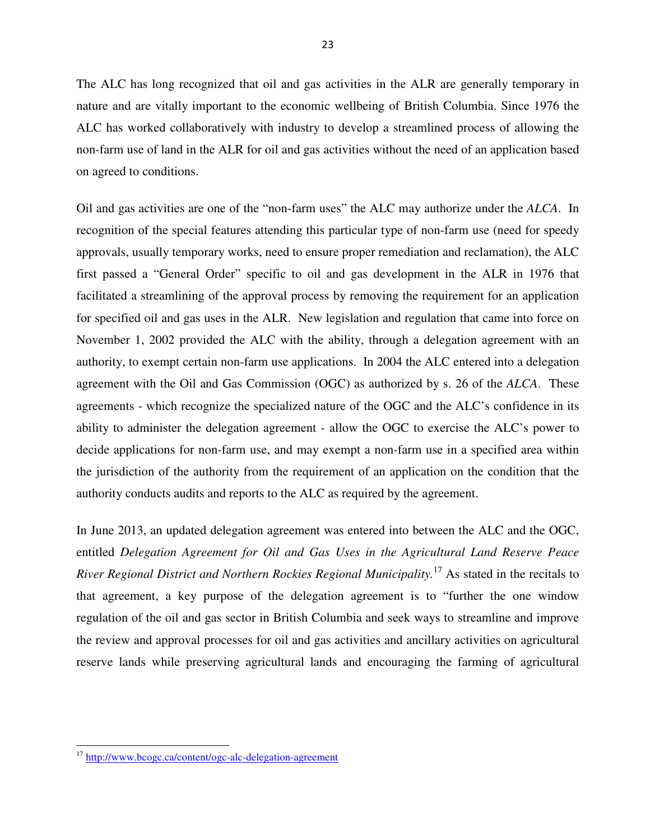The ALC has long recognized that oil and gas activities in the ALR are generally temporary in nature and are vitally important to the economic wellbeing of British Columbia. Since 1976 the ALC has worked collaboratively with industry to develop a streamlined process of allowing the non-farm use of land in the ALR for oil and gas activities without the need of an application based on agreed to conditions.

Oil and gas activities are one of the "non-farm uses" the ALC may authorize under the *ALCA*. In recognition of the special features attending this particular type of non-farm use (need for speedy approvals, usually temporary works, need to ensure proper remediation and reclamation), the ALC first passed a "General Order" specific to oil and gas development in the ALR in 1976 that facilitated a streamlining of the approval process by removing the requirement for an application for specified oil and gas uses in the ALR. New legislation and regulation that came into force on November 1, 2002 provided the ALC with the ability, through a delegation agreement with an authority, to exempt certain non-farm use applications. In 2004 the ALC entered into a delegation agreement with the Oil and Gas Commission (OGC) as authorized by s. 26 of the *ALCA*. These agreements - which recognize the specialized nature of the OGC and the ALC's confidence in its ability to administer the delegation agreement - allow the OGC to exercise the ALC's power to decide applications for non-farm use, and may exempt a non-farm use in a specified area within the jurisdiction of the authority from the requirement of an application on the condition that the authority conducts audits and reports to the ALC as required by the agreement.

In June 2013, an updated delegation agreement was entered into between the ALC and the OGC, entitled *Delegation Agreement for Oil and Gas Uses in the Agricultural Land Reserve Peace River Regional District and Northern Rockies Regional Municipality.*<sup>17</sup> As stated in the recitals to that agreement, a key purpose of the delegation agreement is to "further the one window regulation of the oil and gas sector in British Columbia and seek ways to streamline and improve the review and approval processes for oil and gas activities and ancillary activities on agricultural reserve lands while preserving agricultural lands and encouraging the farming of agricultural

<sup>17</sup> http://www.bcogc.ca/content/ogc-alc-delegation-agreement